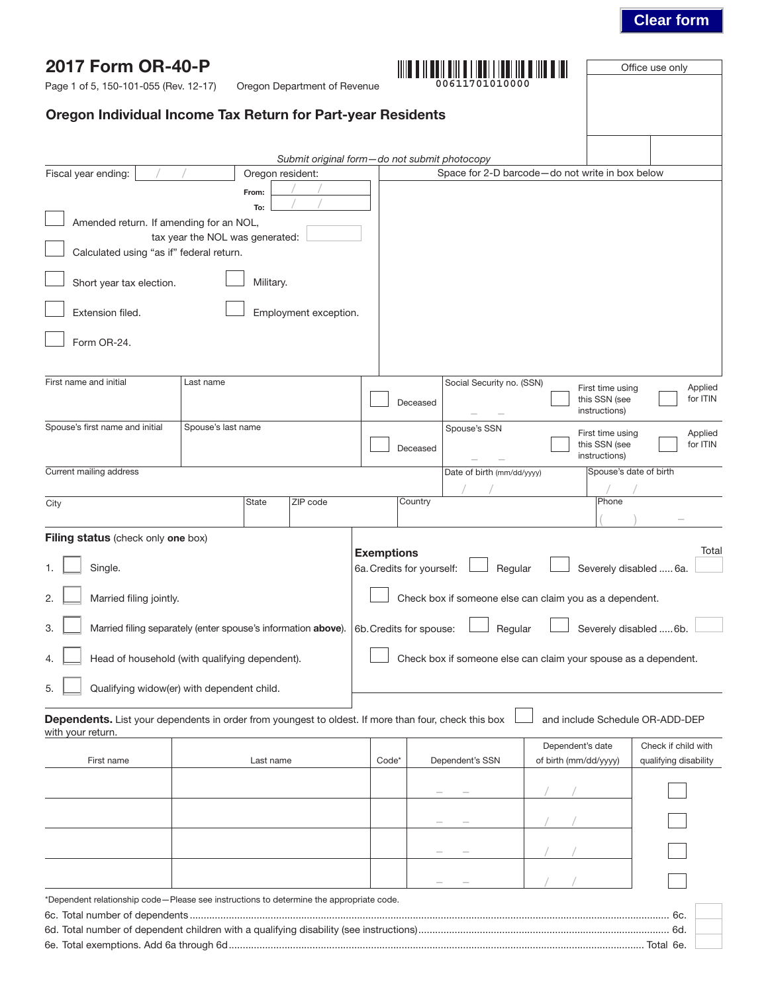### **Clear form**

Office use only

| Page 1 of 5, 150-101-055 (Rev. 12-17)                                                                                     |                                 |                  | Oregon Department of Revenue                 |                                                |          | 00611701010000                                                  |                       |                                                    |                       |                     |
|---------------------------------------------------------------------------------------------------------------------------|---------------------------------|------------------|----------------------------------------------|------------------------------------------------|----------|-----------------------------------------------------------------|-----------------------|----------------------------------------------------|-----------------------|---------------------|
| Oregon Individual Income Tax Return for Part-year Residents                                                               |                                 |                  |                                              |                                                |          |                                                                 |                       |                                                    |                       |                     |
|                                                                                                                           |                                 |                  |                                              |                                                |          |                                                                 |                       |                                                    |                       |                     |
|                                                                                                                           |                                 |                  | Submit original form-do not submit photocopy |                                                |          |                                                                 |                       |                                                    |                       |                     |
| Fiscal year ending:                                                                                                       |                                 | Oregon resident: |                                              |                                                |          | Space for 2-D barcode-do not write in box below                 |                       |                                                    |                       |                     |
|                                                                                                                           |                                 | From:            |                                              |                                                |          |                                                                 |                       |                                                    |                       |                     |
|                                                                                                                           |                                 | To:              |                                              |                                                |          |                                                                 |                       |                                                    |                       |                     |
| Amended return. If amending for an NOL,                                                                                   | tax year the NOL was generated: |                  |                                              |                                                |          |                                                                 |                       |                                                    |                       |                     |
| Calculated using "as if" federal return.                                                                                  |                                 |                  |                                              |                                                |          |                                                                 |                       |                                                    |                       |                     |
| Short year tax election.                                                                                                  |                                 | Military.        |                                              |                                                |          |                                                                 |                       |                                                    |                       |                     |
| Extension filed.                                                                                                          |                                 |                  | Employment exception.                        |                                                |          |                                                                 |                       |                                                    |                       |                     |
| Form OR-24.                                                                                                               |                                 |                  |                                              |                                                |          |                                                                 |                       |                                                    |                       |                     |
|                                                                                                                           |                                 |                  |                                              |                                                |          |                                                                 |                       |                                                    |                       |                     |
| First name and initial                                                                                                    | Last name                       |                  |                                              |                                                | Deceased | Social Security no. (SSN)                                       |                       | First time using<br>this SSN (see<br>instructions) |                       | Applied<br>for ITIN |
| Spouse's first name and initial                                                                                           | Spouse's last name              |                  |                                              |                                                |          | Spouse's SSN                                                    |                       |                                                    |                       |                     |
|                                                                                                                           |                                 |                  |                                              |                                                | Deceased |                                                                 |                       | First time using<br>this SSN (see<br>instructions) |                       | Applied<br>for ITIN |
| Current mailing address                                                                                                   |                                 |                  |                                              |                                                |          | Date of birth (mm/dd/yyyy)                                      |                       | Spouse's date of birth                             |                       |                     |
|                                                                                                                           |                                 | State            | ZIP code                                     |                                                | Country  |                                                                 |                       | Phone                                              |                       |                     |
| City                                                                                                                      |                                 |                  |                                              |                                                |          |                                                                 |                       |                                                    |                       |                     |
| Filing status (check only one box)                                                                                        |                                 |                  |                                              |                                                |          |                                                                 |                       |                                                    |                       |                     |
| Single.                                                                                                                   |                                 |                  |                                              | <b>Exemptions</b><br>6a. Credits for yourself: |          | Regular                                                         |                       | Severely disabled  6a.                             |                       | Total               |
| 2.<br>Married filing jointly.                                                                                             |                                 |                  |                                              |                                                |          | Check box if someone else can claim you as a dependent.         |                       |                                                    |                       |                     |
| 3.<br>Married filing separately (enter spouse's information above).                                                       |                                 |                  |                                              | 6b. Credits for spouse:                        |          | Regular                                                         |                       | Severely disabled  6b.                             |                       |                     |
| Head of household (with qualifying dependent).<br>4.                                                                      |                                 |                  |                                              |                                                |          | Check box if someone else can claim your spouse as a dependent. |                       |                                                    |                       |                     |
| 5.<br>Qualifying widow(er) with dependent child.                                                                          |                                 |                  |                                              |                                                |          |                                                                 |                       |                                                    |                       |                     |
| Dependents. List your dependents in order from youngest to oldest. If more than four, check this box<br>with your return. |                                 |                  |                                              |                                                |          |                                                                 |                       | and include Schedule OR-ADD-DEP                    |                       |                     |
|                                                                                                                           |                                 |                  |                                              |                                                |          |                                                                 | Dependent's date      |                                                    | Check if child with   |                     |
| First name                                                                                                                |                                 | Last name        |                                              | Code*                                          |          | Dependent's SSN                                                 | of birth (mm/dd/yyyy) |                                                    | qualifying disability |                     |
|                                                                                                                           |                                 |                  |                                              |                                                |          |                                                                 |                       |                                                    |                       |                     |
|                                                                                                                           |                                 |                  |                                              |                                                |          |                                                                 |                       |                                                    |                       |                     |
|                                                                                                                           |                                 |                  |                                              |                                                |          |                                                                 |                       |                                                    |                       |                     |
|                                                                                                                           |                                 |                  |                                              |                                                |          |                                                                 |                       |                                                    |                       |                     |
| *Dependent relationship code-Please see instructions to determine the appropriate code.                                   |                                 |                  |                                              |                                                |          |                                                                 |                       |                                                    |                       |                     |
|                                                                                                                           |                                 |                  |                                              |                                                |          |                                                                 |                       |                                                    | 6с.<br>6d.            |                     |

6e. Total exemptions. Add 6a through 6d..................................................................................................................................................... Total 6e.

2017 Form OR-40-P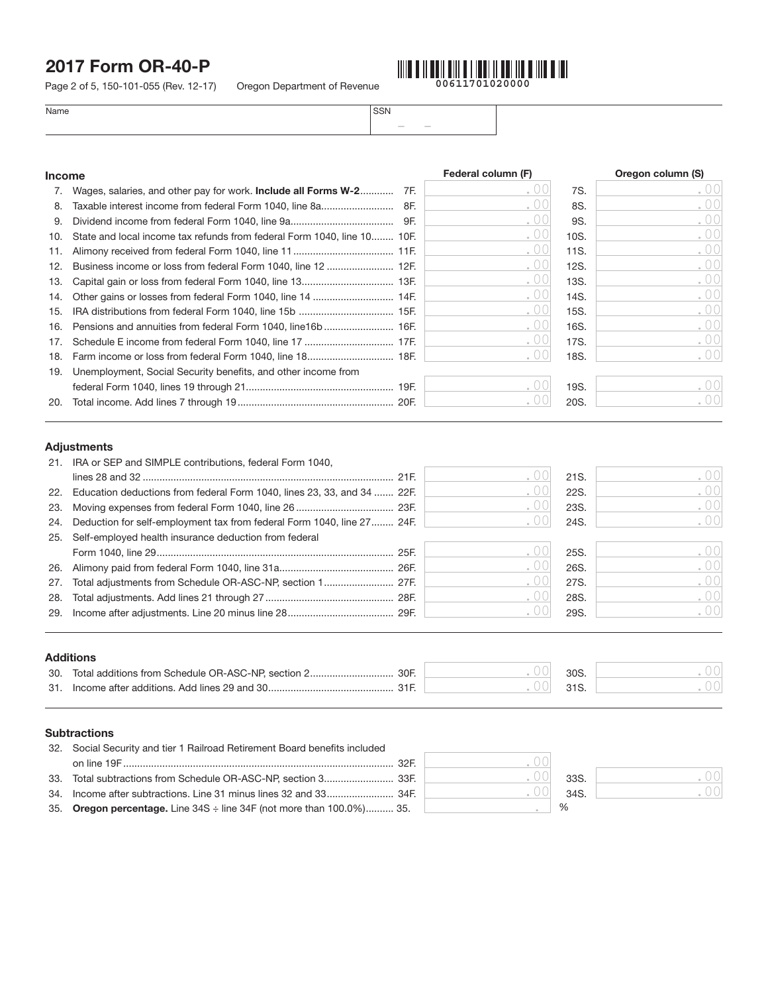Page 2 of 5, 150-101-055 (Rev. 12-17) Oregon Department of Revenue

on line 19F................................................................................................. 32F.

35. Oregon percentage. Line 34S ÷ line 34F (not more than 100.0%).......... 35.

33. Total subtractions from Schedule OR-ASC-NP, section 3......................... 33F. 33S. 34. Income after subtractions. Line 31 minus lines 32 and 33........................ 34F. 34S.



– –

 $\%$ 

.00 .00

.00 .00 .00

| Name | <b>SSN</b> |
|------|------------|
|------|------------|

| <b>Income</b> |                                                                                   | Federal column (F) |              | Oregon column (S) |
|---------------|-----------------------------------------------------------------------------------|--------------------|--------------|-------------------|
| 7.            | Wages, salaries, and other pay for work. Include all Forms W-2 7F.                | 0 <sup>0</sup>     | 7S.          | 00                |
| 8.            |                                                                                   | 00                 | 8S.          | .00               |
| 9.            |                                                                                   | 00                 | 9S.          | . 00              |
| 10.           | State and local income tax refunds from federal Form 1040, line 10 10F.           | 0 <sup>0</sup>     | 10S.         | .00               |
| 11.           |                                                                                   | 00                 | 11S.         | 00                |
| 12.           | Business income or loss from federal Form 1040, line 12  12F.                     | 00                 | 12S.         | 00                |
| 13.           |                                                                                   | 00                 | 13S.         | . $00$            |
| 14.           |                                                                                   | 00                 | 14S.         | .00               |
| 15.           |                                                                                   | 00                 | 15S.         | .00               |
| 16.           | Pensions and annuities from federal Form 1040, line16b  16F.                      | 00                 | 16S.         | .00               |
| 17.           |                                                                                   | 00                 | 17S.         | 00                |
| 18.           |                                                                                   | 00                 | 18S.         | 00                |
|               | 19. Unemployment, Social Security benefits, and other income from                 |                    |              |                   |
|               |                                                                                   | 00                 | 19S.         | .00               |
|               |                                                                                   |                    |              | .001              |
| 20.           | <b>Adjustments</b><br>21. IRA or SEP and SIMPLE contributions, federal Form 1040, | 00<br>00           | 20S.<br>21S. | 00                |
|               | 22. Education deductions from federal Form 1040, lines 23, 33, and 34  22F.       | 00                 | 22S.         | 00                |
| 23.<br>24.    | Deduction for self-employment tax from federal Form 1040, line 27 24F.            | 00<br>00           | 23S.<br>24S. | .00<br>00         |
| 25.           | Self-employed health insurance deduction from federal                             |                    |              |                   |
|               |                                                                                   | 00                 | 25S.         | .00               |
| 26.           |                                                                                   | 00                 | 26S.         | . $00$            |
| 27.           |                                                                                   | 00                 | 27S.         | . $00$            |
| 28.           |                                                                                   | 00                 | 28S.         | .00               |
| 29.           |                                                                                   | 00                 | 29S.         | . $00$            |
|               |                                                                                   |                    |              |                   |
|               | <b>Additions</b>                                                                  |                    |              |                   |
|               |                                                                                   | 00<br>00           | 30S.<br>31S. | . 00<br>. 00      |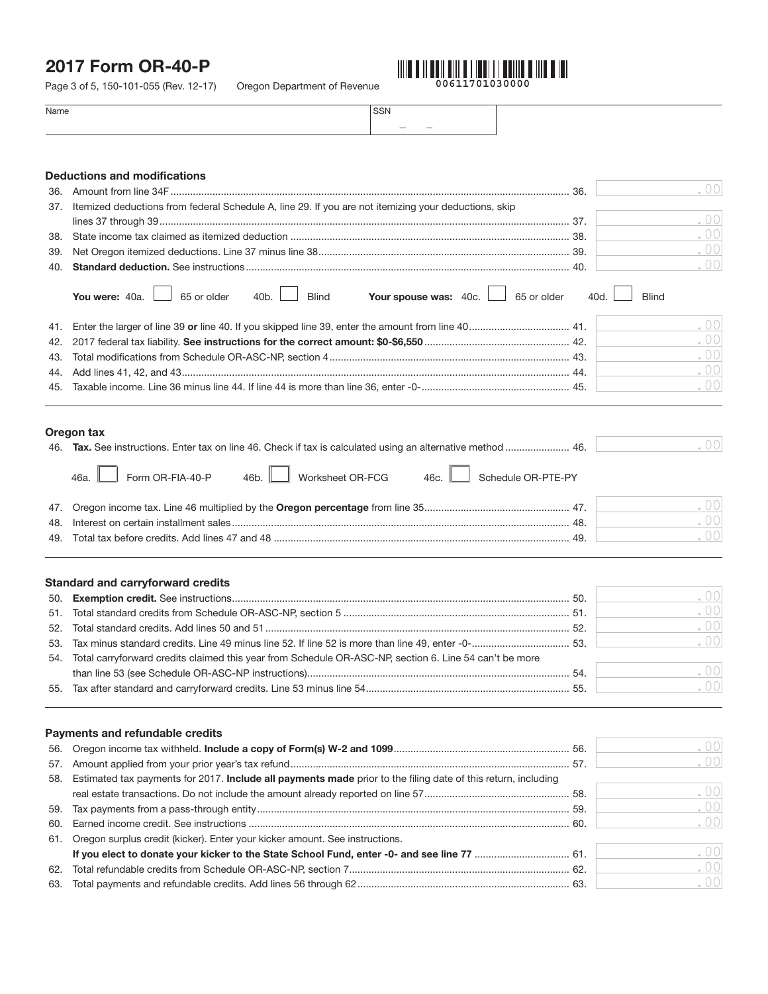Page 3 of 5, 150-101-055 (Rev. 12-17) Oregon Department of Revenue



.00 .00

| $\sim$<br>$-$ | Name | <b>SSN</b> |  |
|---------------|------|------------|--|
|               |      |            |  |

|     | <b>Deductions and modifications</b>                                                                                        |      |              |
|-----|----------------------------------------------------------------------------------------------------------------------------|------|--------------|
| 36. |                                                                                                                            |      | .00          |
| 37. | Itemized deductions from federal Schedule A, line 29. If you are not itemizing your deductions, skip                       |      |              |
|     |                                                                                                                            |      | .00          |
| 38. |                                                                                                                            |      | .00          |
| 39. |                                                                                                                            |      | .00          |
| 40. |                                                                                                                            |      | .00          |
|     | Your spouse was: 40c.<br>You were: 40a.<br>65 or older<br>40 <sub>b</sub> .<br><b>Blind</b><br>65 or older                 | 40d. | <b>Blind</b> |
| 41. |                                                                                                                            |      | .00          |
| 42. |                                                                                                                            |      | .00          |
| 43. |                                                                                                                            |      | .00          |
| 44. |                                                                                                                            |      | .00          |
| 45. |                                                                                                                            |      | $\bullet$ 00 |
|     |                                                                                                                            |      |              |
|     | Oregon tax<br>46. Tax. See instructions. Enter tax on line 46. Check if tax is calculated using an alternative method  46. |      | .001         |
|     | Form OR-FIA-40-P<br>Worksheet OR-FCG<br>46 <sub>b</sub> .<br>Schedule OR-PTE-PY<br>46a.<br>46c.                            |      |              |
| 47. |                                                                                                                            |      | .00          |
| 48. |                                                                                                                            |      | .00          |
| 49. |                                                                                                                            |      | .00          |
|     | <b>Standard and carryforward credits</b>                                                                                   |      |              |
| 50. |                                                                                                                            |      | .00          |
| 51. |                                                                                                                            |      | .00          |
| 52. |                                                                                                                            |      | .00          |
| 53. |                                                                                                                            |      | .00          |
| 54. | Total carryforward credits claimed this year from Schedule OR-ASC-NP, section 6. Line 54 can't be more                     |      |              |
|     |                                                                                                                            |      | .00          |
|     |                                                                                                                            |      | . $00$       |
| 55. |                                                                                                                            |      |              |
|     | Payments and refundable credits                                                                                            |      |              |
| 56. |                                                                                                                            |      | .00          |
| 57. |                                                                                                                            |      | .001         |
| 58. | Estimated tax payments for 2017. Include all payments made prior to the filing date of this return, including              |      |              |
|     |                                                                                                                            |      | .00          |
| 59. |                                                                                                                            |      | .00          |
| 60. |                                                                                                                            |      | .00          |
| 61. | Oregon surplus credit (kicker). Enter your kicker amount. See instructions.                                                |      |              |
|     | If you elect to donate your kicker to the State School Fund, enter -0- and see line 77  61.                                |      | .00          |

62. Total refundable credits from Schedule OR-ASC-NP, section 7............................................................................... 62. 63. Total payments and refundable credits. Add lines 56 through 62............................................................................ 63.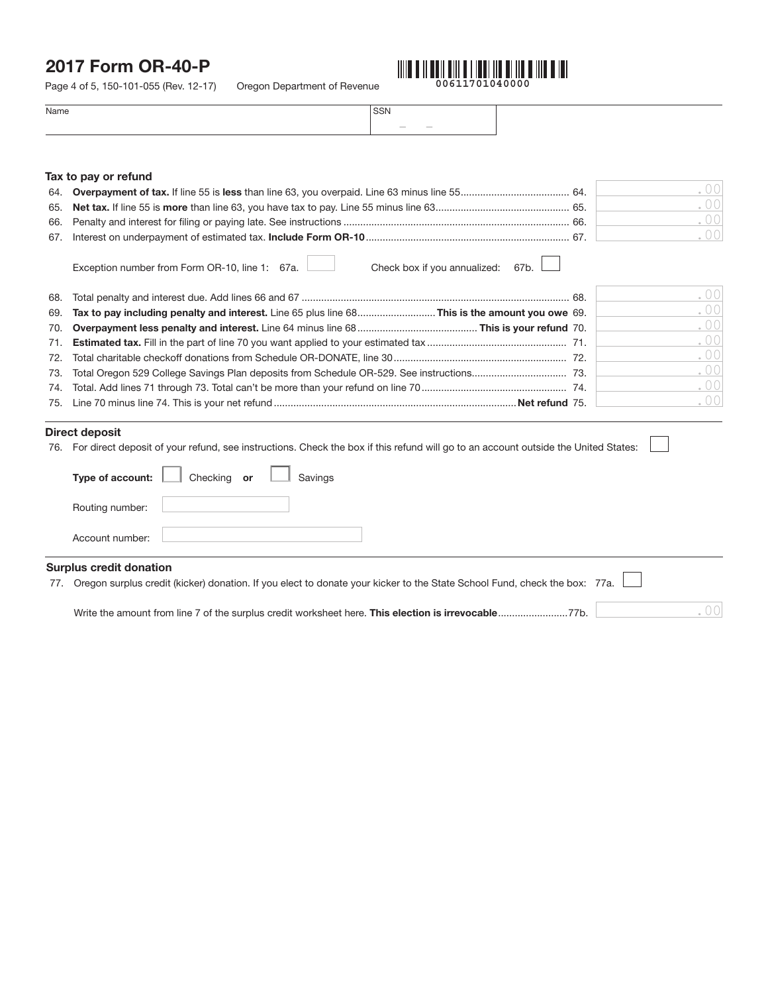Page 4 of 5, 150-101-055 (Rev. 12-17) Oregon Department of Revenue



.00

| Name | SSN                                |
|------|------------------------------------|
|      | $\sim$<br><b>Contract Contract</b> |
|      |                                    |

### Tax to pay or refund

| 64. |                                                                                               | .00 |
|-----|-----------------------------------------------------------------------------------------------|-----|
| 65. |                                                                                               | .00 |
| 66. |                                                                                               | .00 |
| 67. |                                                                                               | .00 |
|     | Check box if you annualized:<br>Exception number from Form OR-10, line 1: 67a.<br>67b.        |     |
| 68. |                                                                                               | .00 |
| 69. | Tax to pay including penalty and interest. Line 65 plus line 68This is the amount you owe 69. | .00 |
| 70. |                                                                                               | .00 |
| 71. |                                                                                               | .00 |
| 72. |                                                                                               | .00 |
| 73. |                                                                                               | .00 |
| 74. |                                                                                               | .00 |
| 75. |                                                                                               | .00 |
|     |                                                                                               |     |

### Direct deposit

|  | 76. For direct deposit of your refund, see instructions. Check the box if this refund will go to an account outside the United States: |  |
|--|----------------------------------------------------------------------------------------------------------------------------------------|--|
|  |                                                                                                                                        |  |

|                                | Type of account: Checking or Savings |  |  |
|--------------------------------|--------------------------------------|--|--|
| Routing number:                |                                      |  |  |
| Account number:                |                                      |  |  |
| <b>Surplus credit donation</b> |                                      |  |  |

|  |  |  | 77. Oregon surplus credit (kicker) donation. If you elect to donate your kicker to the State School Fund, check the box: 77a. |  |  |  |
|--|--|--|-------------------------------------------------------------------------------------------------------------------------------|--|--|--|
|--|--|--|-------------------------------------------------------------------------------------------------------------------------------|--|--|--|

Write the amount from line 7 of the surplus credit worksheet here. This election is irrevocable.........................77b.